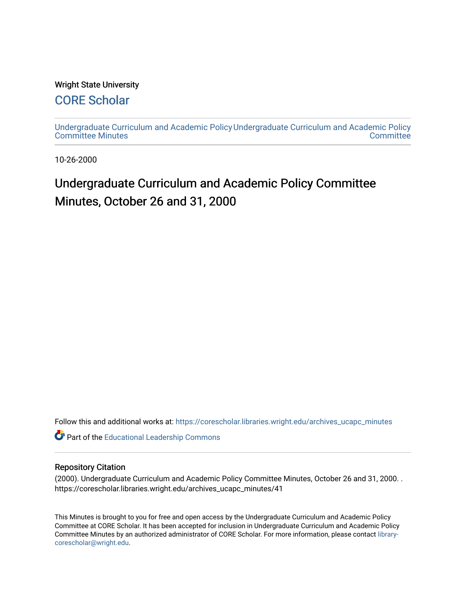#### Wright State University

# [CORE Scholar](https://corescholar.libraries.wright.edu/)

[Undergraduate Curriculum and Academic Policy](https://corescholar.libraries.wright.edu/archives_ucapc_minutes) [Undergraduate Curriculum and Academic Policy](https://corescholar.libraries.wright.edu/archives_ucapc)  [Committee Minutes](https://corescholar.libraries.wright.edu/archives_ucapc_minutes) **Committee** 

10-26-2000

# Undergraduate Curriculum and Academic Policy Committee Minutes, October 26 and 31, 2000

Follow this and additional works at: [https://corescholar.libraries.wright.edu/archives\\_ucapc\\_minutes](https://corescholar.libraries.wright.edu/archives_ucapc_minutes?utm_source=corescholar.libraries.wright.edu%2Farchives_ucapc_minutes%2F41&utm_medium=PDF&utm_campaign=PDFCoverPages) 

Part of the [Educational Leadership Commons](http://network.bepress.com/hgg/discipline/1230?utm_source=corescholar.libraries.wright.edu%2Farchives_ucapc_minutes%2F41&utm_medium=PDF&utm_campaign=PDFCoverPages) 

#### Repository Citation

(2000). Undergraduate Curriculum and Academic Policy Committee Minutes, October 26 and 31, 2000. . https://corescholar.libraries.wright.edu/archives\_ucapc\_minutes/41

This Minutes is brought to you for free and open access by the Undergraduate Curriculum and Academic Policy Committee at CORE Scholar. It has been accepted for inclusion in Undergraduate Curriculum and Academic Policy Committee Minutes by an authorized administrator of CORE Scholar. For more information, please contact [library](mailto:library-corescholar@wright.edu)[corescholar@wright.edu](mailto:library-corescholar@wright.edu).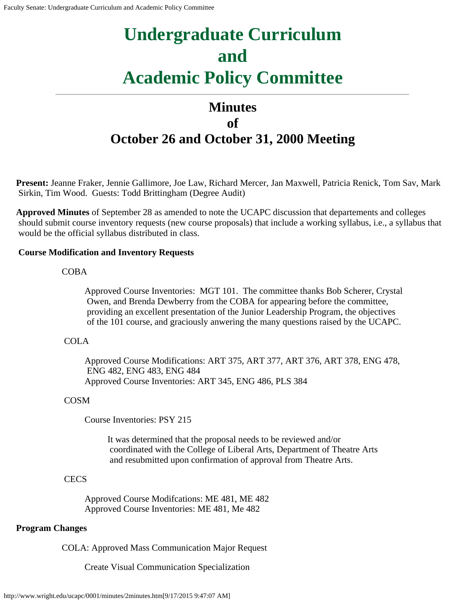# <span id="page-1-0"></span>**Undergraduate Curriculum and Academic Policy Committee**

# **Minutes of October 26 and October 31, 2000 Meeting**

**Present:** Jeanne Fraker, Jennie Gallimore, Joe Law, Richard Mercer, Jan Maxwell, Patricia Renick, Tom Sav, Mark Sirkin, Tim Wood. Guests: Todd Brittingham (Degree Audit)

**Approved Minutes** of September 28 as amended to note the UCAPC discussion that departements and colleges should submit course inventory requests (new course proposals) that include a working syllabus, i.e., a syllabus that would be the official syllabus distributed in class.

#### **Course Modification and Inventory Requests**

#### COBA

Approved Course Inventories: MGT 101. The committee thanks Bob Scherer, Crystal Owen, and Brenda Dewberry from the COBA for appearing before the committee, providing an excellent presentation of the Junior Leadership Program, the objectives of the 101 course, and graciously anwering the many questions raised by the UCAPC.

#### COLA

Approved Course Modifications: ART 375, ART 377, ART 376, ART 378, ENG 478, ENG 482, ENG 483, ENG 484 Approved Course Inventories: ART 345, ENG 486, PLS 384

#### COSM

Course Inventories: PSY 215

It was determined that the proposal needs to be reviewed and/or coordinated with the College of Liberal Arts, Department of Theatre Arts and resubmitted upon confirmation of approval from Theatre Arts.

#### **CECS**

Approved Course Modifcations: ME 481, ME 482 Approved Course Inventories: ME 481, Me 482

#### **Program Changes**

COLA: Approved Mass Communication Major Request

Create Visual Communication Specialization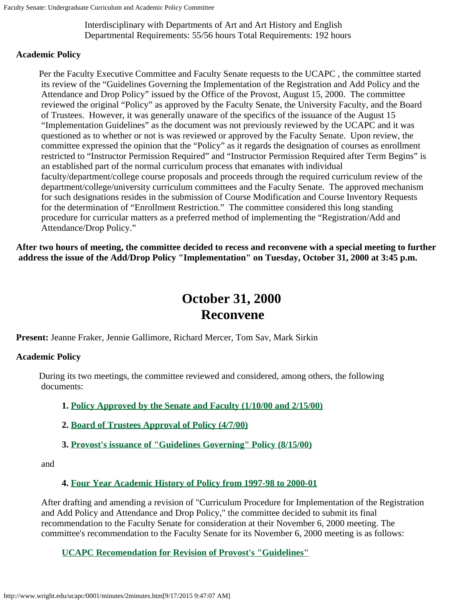Interdisciplinary with Departments of Art and Art History and English Departmental Requirements: 55/56 hours Total Requirements: 192 hours

#### **Academic Policy**

Per the Faculty Executive Committee and Faculty Senate requests to the UCAPC , the committee started its review of the "Guidelines Governing the Implementation of the Registration and Add Policy and the Attendance and Drop Policy" issued by the Office of the Provost, August 15, 2000. The committee reviewed the original "Policy" as approved by the Faculty Senate, the University Faculty, and the Board of Trustees. However, it was generally unaware of the specifics of the issuance of the August 15 "Implementation Guidelines" as the document was not previously reviewed by the UCAPC and it was questioned as to whether or not is was reviewed or approved by the Faculty Senate. Upon review, the committee expressed the opinion that the "Policy" as it regards the designation of courses as enrollment restricted to "Instructor Permission Required" and "Instructor Permission Required after Term Begins" is an established part of the normal curriculum process that emanates with individual faculty/department/college course proposals and proceeds through the required curriculum review of the department/college/university curriculum committees and the Faculty Senate. The approved mechanism for such designations resides in the submission of Course Modification and Course Inventory Requests for the determination of "Enrollment Restriction." The committee considered this long standing procedure for curricular matters as a preferred method of implementing the "Registration/Add and Attendance/Drop Policy."

**After two hours of meeting, the committee decided to recess and reconvene with a special meeting to further address the issue of the Add/Drop Policy "Implementation" on Tuesday, October 31, 2000 at 3:45 p.m.**

# **October 31, 2000 Reconvene**

**Present:** Jeanne Fraker, Jennie Gallimore, Richard Mercer, Tom Sav, Mark Sirkin

#### **Academic Policy**

During its two meetings, the committee reviewed and considered, among others, the following documents:

#### **1. Policy Approved by the Senate [and Faculty \(1/10/00 and 2/15/00\)](#page-4-0)**

**2. [Board of Trustees Approval of Policy](#page-5-0) (4/7/00)**

#### **3. [Provost's issuance of "Guidelines](#page-7-0) Governing" Policy (8/15/00)**

and

#### **4. Four Year Academic History [of Policy from 1997-98 to 2000-01](#page-9-0)**

After drafting and amending a revision of "Curriculum Procedure for Implementation of the Registration and Add Policy and Attendance and Drop Policy," the committee decided to submit its final recommendation to the Faculty Senate for consideration at their November 6, 2000 meeting. The committee's recommendation to the Faculty Senate for its November 6, 2000 meeting is as follows:

**UCAPC Recomendation for [Revision of Provost's "Guidelines"](#page-12-0)**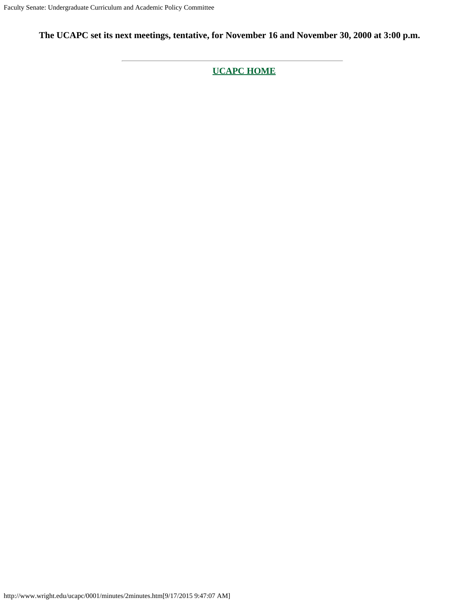**The UCAPC set its next meetings, tentative, for November 16 and November 30, 2000 at 3:00 p.m.**

**[UCAPC HOME](http://www.wright.edu/ucapc/index.htm)**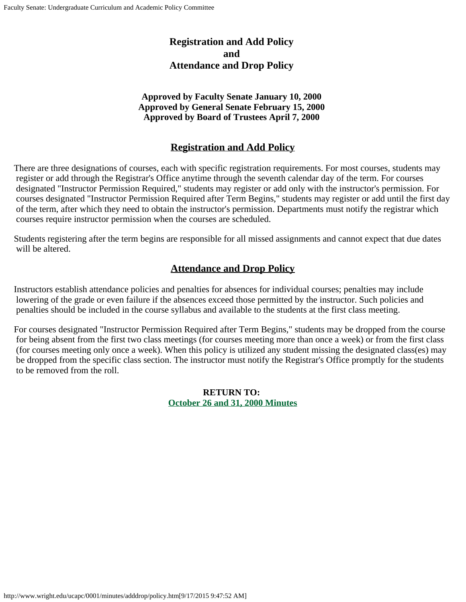# **Registration and Add Policy and Attendance and Drop Policy**

#### **Approved by Faculty Senate January 10, 2000 Approved by General Senate February 15, 2000 Approved by Board of Trustees April 7, 2000**

# **Registration and Add Policy**

<span id="page-4-0"></span>There are three designations of courses, each with specific registration requirements. For most courses, students may register or add through the Registrar's Office anytime through the seventh calendar day of the term. For courses designated "Instructor Permission Required," students may register or add only with the instructor's permission. For courses designated "Instructor Permission Required after Term Begins," students may register or add until the first day of the term, after which they need to obtain the instructor's permission. Departments must notify the registrar which courses require instructor permission when the courses are scheduled.

Students registering after the term begins are responsible for all missed assignments and cannot expect that due dates will be altered.

# **Attendance and Drop Policy**

Instructors establish attendance policies and penalties for absences for individual courses; penalties may include lowering of the grade or even failure if the absences exceed those permitted by the instructor. Such policies and penalties should be included in the course syllabus and available to the students at the first class meeting.

For courses designated "Instructor Permission Required after Term Begins," students may be dropped from the course for being absent from the first two class meetings (for courses meeting more than once a week) or from the first class (for courses meeting only once a week). When this policy is utilized any student missing the designated class(es) may be dropped from the specific class section. The instructor must notify the Registrar's Office promptly for the students to be removed from the roll.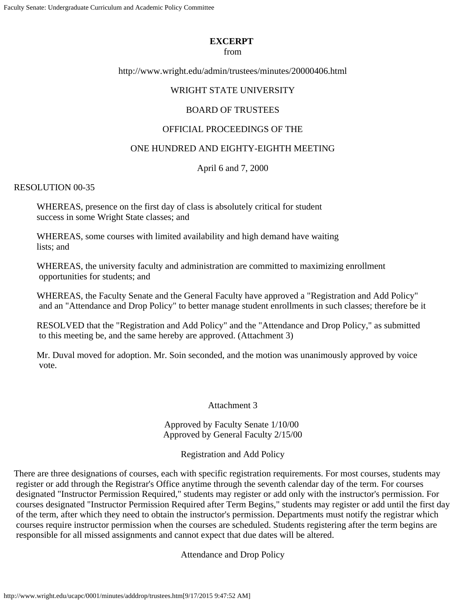#### **EXCERPT**

#### from

<span id="page-5-0"></span>http://www.wright.edu/admin/trustees/minutes/20000406.html

#### WRIGHT STATE UNIVERSITY

#### BOARD OF TRUSTEES

#### OFFICIAL PROCEEDINGS OF THE

#### ONE HUNDRED AND EIGHTY-EIGHTH MEETING

#### April 6 and 7, 2000

#### RESOLUTION 00-35

WHEREAS, presence on the first day of class is absolutely critical for student success in some Wright State classes; and

WHEREAS, some courses with limited availability and high demand have waiting lists; and

WHEREAS, the university faculty and administration are committed to maximizing enrollment opportunities for students; and

WHEREAS, the Faculty Senate and the General Faculty have approved a "Registration and Add Policy" and an "Attendance and Drop Policy" to better manage student enrollments in such classes; therefore be it

RESOLVED that the "Registration and Add Policy" and the "Attendance and Drop Policy," as submitted to this meeting be, and the same hereby are approved. (Attachment 3)

Mr. Duval moved for adoption. Mr. Soin seconded, and the motion was unanimously approved by voice vote.

#### Attachment 3

Approved by Faculty Senate 1/10/00 Approved by General Faculty 2/15/00

Registration and Add Policy

There are three designations of courses, each with specific registration requirements. For most courses, students may register or add through the Registrar's Office anytime through the seventh calendar day of the term. For courses designated "Instructor Permission Required," students may register or add only with the instructor's permission. For courses designated "Instructor Permission Required after Term Begins," students may register or add until the first day of the term, after which they need to obtain the instructor's permission. Departments must notify the registrar which courses require instructor permission when the courses are scheduled. Students registering after the term begins are responsible for all missed assignments and cannot expect that due dates will be altered.

Attendance and Drop Policy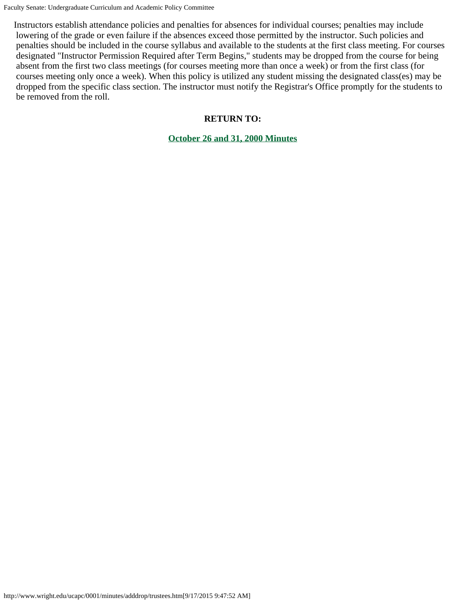Faculty Senate: Undergraduate Curriculum and Academic Policy Committee

Instructors establish attendance policies and penalties for absences for individual courses; penalties may include lowering of the grade or even failure if the absences exceed those permitted by the instructor. Such policies and penalties should be included in the course syllabus and available to the students at the first class meeting. For courses designated "Instructor Permission Required after Term Begins," students may be dropped from the course for being absent from the first two class meetings (for courses meeting more than once a week) or from the first class (for courses meeting only once a week). When this policy is utilized any student missing the designated class(es) may be dropped from the specific class section. The instructor must notify the Registrar's Office promptly for the students to be removed from the roll.

#### **RETURN TO:**

**[October 26 and 31, 2000 Minutes](#page-1-0)**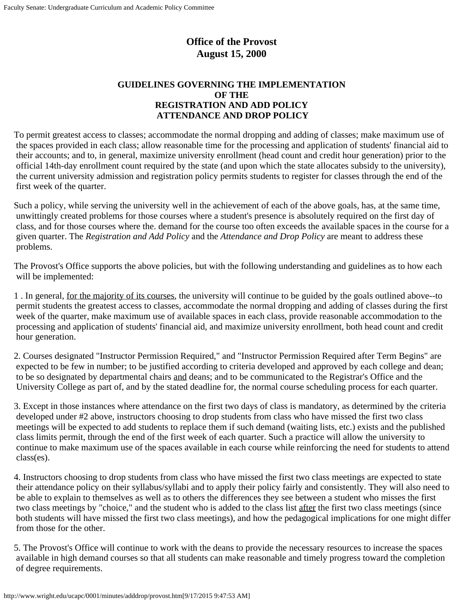# **Office of the Provost August 15, 2000**

#### **GUIDELINES GOVERNING THE IMPLEMENTATION OF THE REGISTRATION AND ADD POLICY ATTENDANCE AND DROP POLICY**

<span id="page-7-0"></span>To permit greatest access to classes; accommodate the normal dropping and adding of classes; make maximum use of the spaces provided in each class; allow reasonable time for the processing and application of students' financial aid to their accounts; and to, in general, maximize university enrollment (head count and credit hour generation) prior to the official 14th-day enrollment count required by the state (and upon which the state allocates subsidy to the university), the current university admission and registration policy permits students to register for classes through the end of the first week of the quarter.

Such a policy, while serving the university well in the achievement of each of the above goals, has, at the same time, unwittingly created problems for those courses where a student's presence is absolutely required on the first day of class, and for those courses where the. demand for the course too often exceeds the available spaces in the course for a given quarter. The *Registration and Add Policy* and the *Attendance and Drop Policy* are meant to address these problems.

The Provost's Office supports the above policies, but with the following understanding and guidelines as to how each will be implemented:

1 . In general, for the majority of its courses, the university will continue to be guided by the goals outlined above--to permit students the greatest access to classes, accommodate the normal dropping and adding of classes during the first week of the quarter, make maximum use of available spaces in each class, provide reasonable accommodation to the processing and application of students' financial aid, and maximize university enrollment, both head count and credit hour generation.

2. Courses designated "Instructor Permission Required," and "Instructor Permission Required after Term Begins" are expected to be few in number; to be justified according to criteria developed and approved by each college and dean; to be so designated by departmental chairs and deans; and to be communicated to the Registrar's Office and the University College as part of, and by the stated deadline for, the normal course scheduling process for each quarter.

3. Except in those instances where attendance on the first two days of class is mandatory, as determined by the criteria developed under #2 above, instructors choosing to drop students from class who have missed the first two class meetings will be expected to add students to replace them if such demand (waiting lists, etc.) exists and the published class limits permit, through the end of the first week of each quarter. Such a practice will allow the university to continue to make maximum use of the spaces available in each course while reinforcing the need for students to attend class(es).

4. Instructors choosing to drop students from class who have missed the first two class meetings are expected to state their attendance policy on their syllabus/syllabi and to apply their policy fairly and consistently. They will also need to be able to explain to themselves as well as to others the differences they see between a student who misses the first two class meetings by "choice," and the student who is added to the class list after the first two class meetings (since both students will have missed the first two class meetings), and how the pedagogical implications for one might differ from those for the other.

5. The Provost's Office will continue to work with the deans to provide the necessary resources to increase the spaces available in high demand courses so that all students can make reasonable and timely progress toward the completion of degree requirements.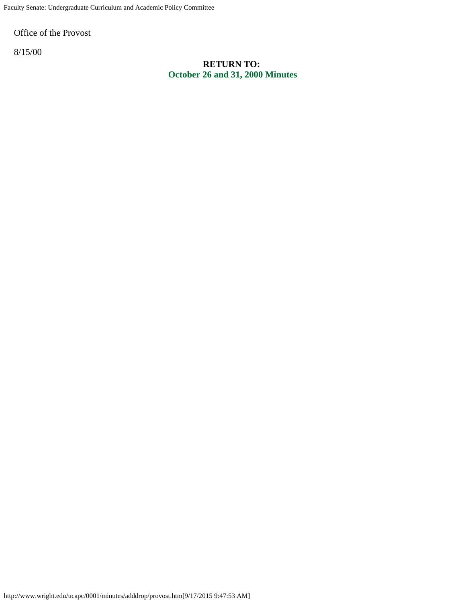Faculty Senate: Undergraduate Curriculum and Academic Policy Committee

Office of the Provost

8/15/00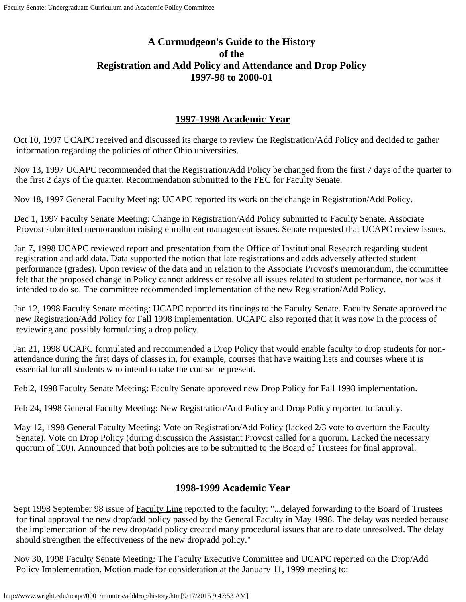# <span id="page-9-0"></span>**A Curmudgeon's Guide to the History of the Registration and Add Policy and Attendance and Drop Policy 1997-98 to 2000-01**

### **1997-1998 Academic Year**

Oct 10, 1997 UCAPC received and discussed its charge to review the Registration/Add Policy and decided to gather information regarding the policies of other Ohio universities.

Nov 13, 1997 UCAPC recommended that the Registration/Add Policy be changed from the first 7 days of the quarter to the first 2 days of the quarter. Recommendation submitted to the FEC for Faculty Senate.

Nov 18, 1997 General Faculty Meeting: UCAPC reported its work on the change in Registration/Add Policy.

Dec 1, 1997 Faculty Senate Meeting: Change in Registration/Add Policy submitted to Faculty Senate. Associate Provost submitted memorandum raising enrollment management issues. Senate requested that UCAPC review issues.

Jan 7, 1998 UCAPC reviewed report and presentation from the Office of Institutional Research regarding student registration and add data. Data supported the notion that late registrations and adds adversely affected student performance (grades). Upon review of the data and in relation to the Associate Provost's memorandum, the committee felt that the proposed change in Policy cannot address or resolve all issues related to student performance, nor was it intended to do so. The committee recommended implementation of the new Registration/Add Policy.

Jan 12, 1998 Faculty Senate meeting: UCAPC reported its findings to the Faculty Senate. Faculty Senate approved the new Registration/Add Policy for Fall 1998 implementation. UCAPC also reported that it was now in the process of reviewing and possibly formulating a drop policy.

Jan 21, 1998 UCAPC formulated and recommended a Drop Policy that would enable faculty to drop students for nonattendance during the first days of classes in, for example, courses that have waiting lists and courses where it is essential for all students who intend to take the course be present.

Feb 2, 1998 Faculty Senate Meeting: Faculty Senate approved new Drop Policy for Fall 1998 implementation.

Feb 24, 1998 General Faculty Meeting: New Registration/Add Policy and Drop Policy reported to faculty.

May 12, 1998 General Faculty Meeting: Vote on Registration/Add Policy (lacked 2/3 vote to overturn the Faculty Senate). Vote on Drop Policy (during discussion the Assistant Provost called for a quorum. Lacked the necessary quorum of 100). Announced that both policies are to be submitted to the Board of Trustees for final approval.

### **1998-1999 Academic Year**

Sept 1998 September 98 issue of Faculty Line reported to the faculty: "...delayed forwarding to the Board of Trustees for final approval the new drop/add policy passed by the General Faculty in May 1998. The delay was needed because the implementation of the new drop/add policy created many procedural issues that are to date unresolved. The delay should strengthen the effectiveness of the new drop/add policy."

Nov 30, 1998 Faculty Senate Meeting: The Faculty Executive Committee and UCAPC reported on the Drop/Add Policy Implementation. Motion made for consideration at the January 11, 1999 meeting to: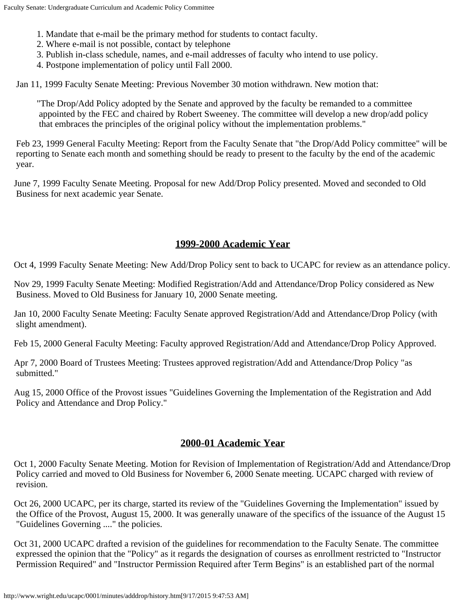- 1. Mandate that e-mail be the primary method for students to contact faculty.
- 2. Where e-mail is not possible, contact by telephone
- 3. Publish in-class schedule, names, and e-mail addresses of faculty who intend to use policy.
- 4. Postpone implementation of policy until Fall 2000.

Jan 11, 1999 Faculty Senate Meeting: Previous November 30 motion withdrawn. New motion that:

"The Drop/Add Policy adopted by the Senate and approved by the faculty be remanded to a committee appointed by the FEC and chaired by Robert Sweeney. The committee will develop a new drop/add policy that embraces the principles of the original policy without the implementation problems."

Feb 23, 1999 General Faculty Meeting: Report from the Faculty Senate that "the Drop/Add Policy committee" will be reporting to Senate each month and something should be ready to present to the faculty by the end of the academic year.

June 7, 1999 Faculty Senate Meeting. Proposal for new Add/Drop Policy presented. Moved and seconded to Old Business for next academic year Senate.

#### **1999-2000 Academic Year**

Oct 4, 1999 Faculty Senate Meeting: New Add/Drop Policy sent to back to UCAPC for review as an attendance policy.

Nov 29, 1999 Faculty Senate Meeting: Modified Registration/Add and Attendance/Drop Policy considered as New Business. Moved to Old Business for January 10, 2000 Senate meeting.

Jan 10, 2000 Faculty Senate Meeting: Faculty Senate approved Registration/Add and Attendance/Drop Policy (with slight amendment).

Feb 15, 2000 General Faculty Meeting: Faculty approved Registration/Add and Attendance/Drop Policy Approved.

Apr 7, 2000 Board of Trustees Meeting: Trustees approved registration/Add and Attendance/Drop Policy "as submitted."

Aug 15, 2000 Office of the Provost issues "Guidelines Governing the Implementation of the Registration and Add Policy and Attendance and Drop Policy."

#### **2000-01 Academic Year**

Oct 1, 2000 Faculty Senate Meeting. Motion for Revision of Implementation of Registration/Add and Attendance/Drop Policy carried and moved to Old Business for November 6, 2000 Senate meeting. UCAPC charged with review of revision.

Oct 26, 2000 UCAPC, per its charge, started its review of the "Guidelines Governing the Implementation" issued by the Office of the Provost, August 15, 2000. It was generally unaware of the specifics of the issuance of the August 15 "Guidelines Governing ...." the policies.

Oct 31, 2000 UCAPC drafted a revision of the guidelines for recommendation to the Faculty Senate. The committee expressed the opinion that the "Policy" as it regards the designation of courses as enrollment restricted to "Instructor Permission Required" and "Instructor Permission Required after Term Begins" is an established part of the normal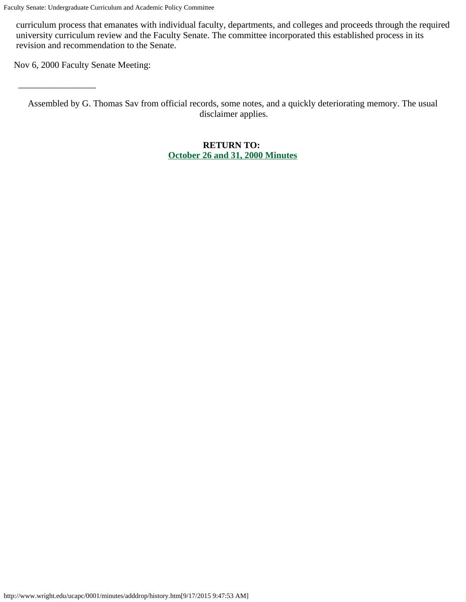curriculum process that emanates with individual faculty, departments, and colleges and proceeds through the required university curriculum review and the Faculty Senate. The committee incorporated this established process in its revision and recommendation to the Senate.

Nov 6, 2000 Faculty Senate Meeting:

 $\overline{\phantom{a}}$  , we can also assume that  $\overline{\phantom{a}}$ 

Assembled by G. Thomas Sav from official records, some notes, and a quickly deteriorating memory. The usual disclaimer applies.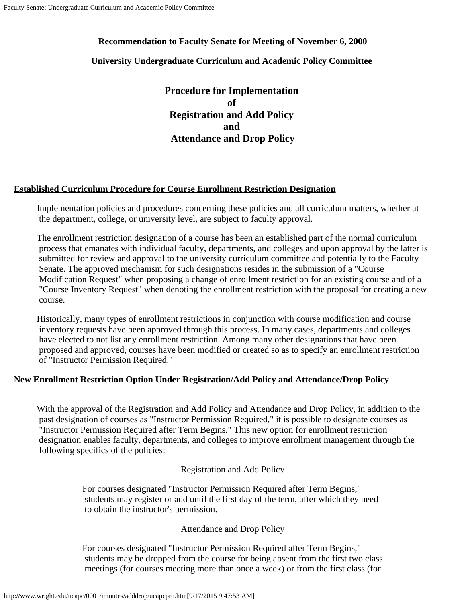#### <span id="page-12-0"></span>**Recommendation to Faculty Senate for Meeting of November 6, 2000**

#### **University Undergraduate Curriculum and Academic Policy Committee**

**Procedure for Implementation of Registration and Add Policy and Attendance and Drop Policy**

#### **Established Curriculum Procedure for Course Enrollment Restriction Designation**

Implementation policies and procedures concerning these policies and all curriculum matters, whether at the department, college, or university level, are subject to faculty approval.

The enrollment restriction designation of a course has been an established part of the normal curriculum process that emanates with individual faculty, departments, and colleges and upon approval by the latter is submitted for review and approval to the university curriculum committee and potentially to the Faculty Senate. The approved mechanism for such designations resides in the submission of a "Course Modification Request" when proposing a change of enrollment restriction for an existing course and of a "Course Inventory Request" when denoting the enrollment restriction with the proposal for creating a new course.

Historically, many types of enrollment restrictions in conjunction with course modification and course inventory requests have been approved through this process. In many cases, departments and colleges have elected to not list any enrollment restriction. Among many other designations that have been proposed and approved, courses have been modified or created so as to specify an enrollment restriction of "Instructor Permission Required."

#### **New Enrollment Restriction Option Under Registration/Add Policy and Attendance/Drop Policy**

With the approval of the Registration and Add Policy and Attendance and Drop Policy, in addition to the past designation of courses as "Instructor Permission Required," it is possible to designate courses as "Instructor Permission Required after Term Begins." This new option for enrollment restriction designation enables faculty, departments, and colleges to improve enrollment management through the following specifics of the policies:

#### Registration and Add Policy

For courses designated "Instructor Permission Required after Term Begins," students may register or add until the first day of the term, after which they need to obtain the instructor's permission.

#### Attendance and Drop Policy

For courses designated "Instructor Permission Required after Term Begins," students may be dropped from the course for being absent from the first two class meetings (for courses meeting more than once a week) or from the first class (for